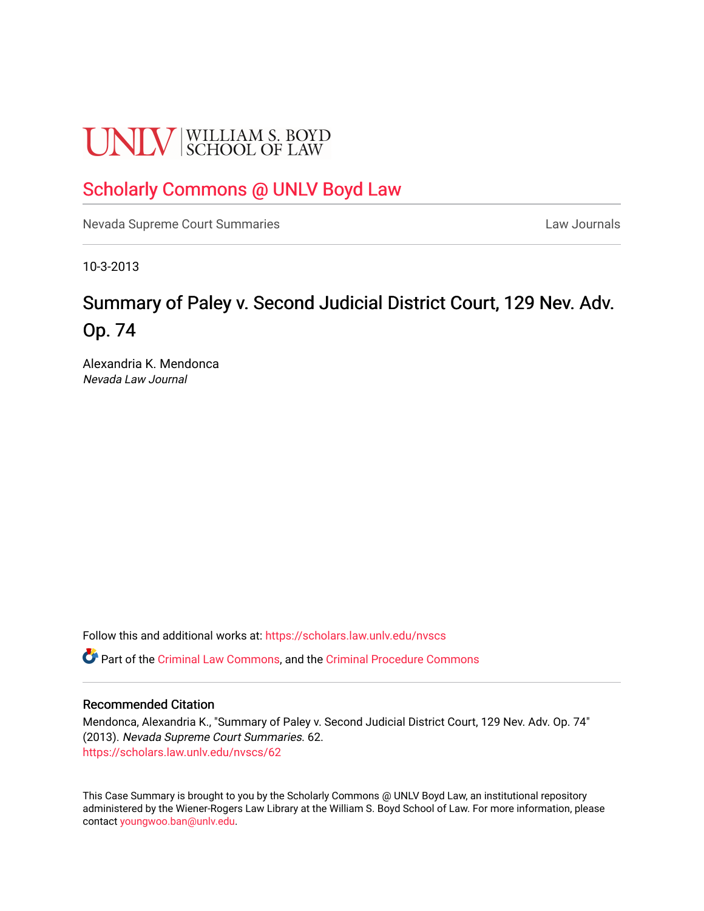# **UNLV** SCHOOL OF LAW

### [Scholarly Commons @ UNLV Boyd Law](https://scholars.law.unlv.edu/)

[Nevada Supreme Court Summaries](https://scholars.law.unlv.edu/nvscs) **Law Journals** Law Journals

10-3-2013

## Summary of Paley v. Second Judicial District Court, 129 Nev. Adv. Op. 74

Alexandria K. Mendonca Nevada Law Journal

Follow this and additional works at: [https://scholars.law.unlv.edu/nvscs](https://scholars.law.unlv.edu/nvscs?utm_source=scholars.law.unlv.edu%2Fnvscs%2F62&utm_medium=PDF&utm_campaign=PDFCoverPages)

Part of the [Criminal Law Commons,](http://network.bepress.com/hgg/discipline/912?utm_source=scholars.law.unlv.edu%2Fnvscs%2F62&utm_medium=PDF&utm_campaign=PDFCoverPages) and the [Criminal Procedure Commons](http://network.bepress.com/hgg/discipline/1073?utm_source=scholars.law.unlv.edu%2Fnvscs%2F62&utm_medium=PDF&utm_campaign=PDFCoverPages)

#### Recommended Citation

Mendonca, Alexandria K., "Summary of Paley v. Second Judicial District Court, 129 Nev. Adv. Op. 74" (2013). Nevada Supreme Court Summaries. 62. [https://scholars.law.unlv.edu/nvscs/62](https://scholars.law.unlv.edu/nvscs/62?utm_source=scholars.law.unlv.edu%2Fnvscs%2F62&utm_medium=PDF&utm_campaign=PDFCoverPages) 

This Case Summary is brought to you by the Scholarly Commons @ UNLV Boyd Law, an institutional repository administered by the Wiener-Rogers Law Library at the William S. Boyd School of Law. For more information, please contact [youngwoo.ban@unlv.edu](mailto:youngwoo.ban@unlv.edu).